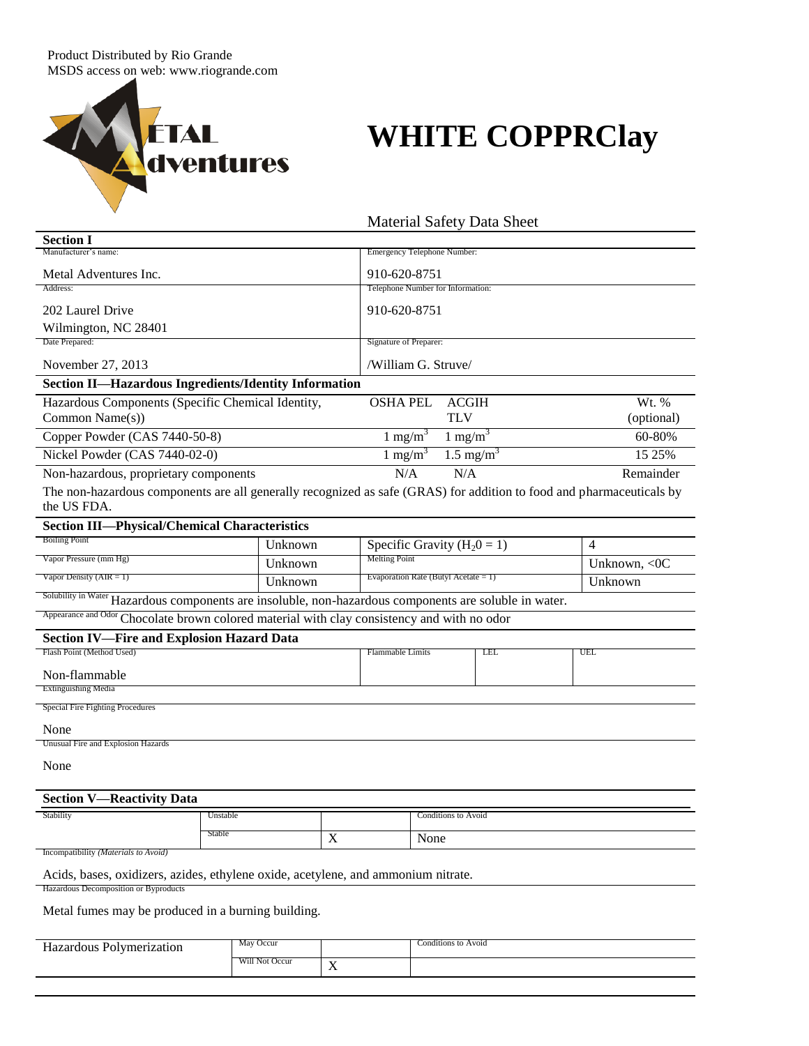

L

Ē,

 $\blacksquare$ 

## **WHITE COPPRClay**

|                                                                                                                                     |          |                         |                                   |                                         | <b>Material Safety Data Sheet</b> |        |                |
|-------------------------------------------------------------------------------------------------------------------------------------|----------|-------------------------|-----------------------------------|-----------------------------------------|-----------------------------------|--------|----------------|
| <b>Section I</b>                                                                                                                    |          |                         |                                   |                                         |                                   |        |                |
| Manufacturer's name:                                                                                                                |          |                         | Emergency Telephone Number:       |                                         |                                   |        |                |
| Metal Adventures Inc.                                                                                                               |          |                         | 910-620-8751                      |                                         |                                   |        |                |
| Address:                                                                                                                            |          |                         | Telephone Number for Information: |                                         |                                   |        |                |
| 202 Laurel Drive                                                                                                                    |          |                         | 910-620-8751                      |                                         |                                   |        |                |
| Wilmington, NC 28401                                                                                                                |          |                         |                                   |                                         |                                   |        |                |
| Date Prepared:                                                                                                                      |          | Signature of Preparer:  |                                   |                                         |                                   |        |                |
| November 27, 2013                                                                                                                   |          |                         | /William G. Struve/               |                                         |                                   |        |                |
| Section II-Hazardous Ingredients/Identity Information                                                                               |          |                         |                                   |                                         |                                   |        |                |
| Hazardous Components (Specific Chemical Identity,                                                                                   |          |                         | <b>OSHA PEL</b>                   |                                         | <b>ACGIH</b>                      |        | Wt. %          |
| Common Name(s))                                                                                                                     |          |                         |                                   | <b>TLV</b>                              |                                   |        | (optional)     |
| Copper Powder (CAS 7440-50-8)                                                                                                       |          | 1 mg/m <sup>3</sup>     |                                   | $1 \text{ mg/m}^3$                      |                                   | 60-80% |                |
| Nickel Powder (CAS 7440-02-0)                                                                                                       |          | 1 mg/m <sup>3</sup>     |                                   | $1.5 \text{ mg/m}^3$                    |                                   | 15 25% |                |
| Non-hazardous, proprietary components                                                                                               |          |                         | N/A                               |                                         | N/A                               |        | Remainder      |
| The non-hazardous components are all generally recognized as safe (GRAS) for addition to food and pharmaceuticals by<br>the US FDA. |          |                         |                                   |                                         |                                   |        |                |
| <b>Section III-Physical/Chemical Characteristics</b>                                                                                |          |                         |                                   |                                         |                                   |        |                |
| <b>Boiling Point</b>                                                                                                                | Unknown  |                         | Specific Gravity ( $H_20 = 1$ )   |                                         |                                   |        | $\overline{4}$ |
| Vapor Pressure (mm Hg)                                                                                                              | Unknown  |                         | <b>Melting Point</b>              |                                         | Unknown, $\langle$ OC             |        |                |
| Vapor Density ( $AIR = 1$ )                                                                                                         | Unknown  |                         |                                   | Evaporation Rate (Butyl Acetate $= 1$ ) |                                   |        | Unknown        |
| Solubility in Water Hazardous components are insoluble, non-hazardous components are soluble in water.                              |          |                         |                                   |                                         |                                   |        |                |
| Appearance and Odor Chocolate brown colored material with clay consistency and with no odor                                         |          |                         |                                   |                                         |                                   |        |                |
| <b>Section IV-Fire and Explosion Hazard Data</b>                                                                                    |          |                         |                                   |                                         |                                   |        |                |
| Flash Point (Method Used)                                                                                                           |          | <b>Flammable Limits</b> |                                   | LEL                                     |                                   | UEL    |                |
| Non-flammable                                                                                                                       |          |                         |                                   |                                         |                                   |        |                |
| <b>Extinguishing Media</b>                                                                                                          |          |                         |                                   |                                         |                                   |        |                |
| Special Fire Fighting Procedures                                                                                                    |          |                         |                                   |                                         |                                   |        |                |
| None                                                                                                                                |          |                         |                                   |                                         |                                   |        |                |
| Unusual Fire and Explosion Hazards                                                                                                  |          |                         |                                   |                                         |                                   |        |                |
| None                                                                                                                                |          |                         |                                   |                                         |                                   |        |                |
| <b>Section V-</b><br>-Reactivity Data                                                                                               |          |                         |                                   |                                         |                                   |        |                |
| Stability                                                                                                                           | Unstable |                         |                                   |                                         | Conditions to Avoid               |        |                |
|                                                                                                                                     | Stable   | X                       | None                              |                                         |                                   |        |                |
| Incompatibility (Materials to Avoid)                                                                                                |          |                         |                                   |                                         |                                   |        |                |
| Acids, bases, oxidizers, azides, ethylene oxide, acetylene, and ammonium nitrate.                                                   |          |                         |                                   |                                         |                                   |        |                |
| Hazardous Decomposition or Byproducts                                                                                               |          |                         |                                   |                                         |                                   |        |                |

Metal fumes may be produced in a burning building.

| $\mathbf{v}$<br>، ۵ ۵ ۵ ۱ ۱<br>10n<br>0.110<br>Polymeri<br> | Occur<br>May   |                              | Conditions to Avoid |
|-------------------------------------------------------------|----------------|------------------------------|---------------------|
|                                                             | Will Not Occur | $ -$<br>$\ddot{\phantom{0}}$ |                     |